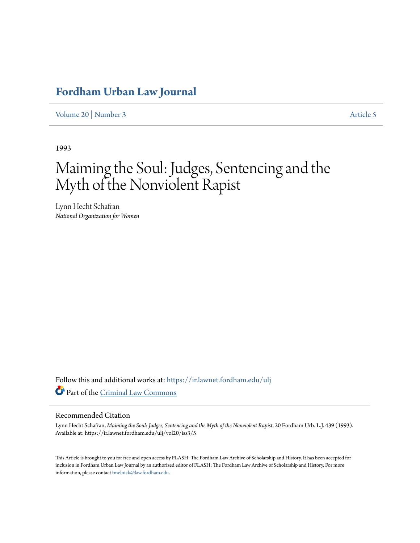## **[Fordham Urban Law Journal](https://ir.lawnet.fordham.edu/ulj?utm_source=ir.lawnet.fordham.edu%2Fulj%2Fvol20%2Fiss3%2F5&utm_medium=PDF&utm_campaign=PDFCoverPages)**

[Volume 20](https://ir.lawnet.fordham.edu/ulj/vol20?utm_source=ir.lawnet.fordham.edu%2Fulj%2Fvol20%2Fiss3%2F5&utm_medium=PDF&utm_campaign=PDFCoverPages) | [Number 3](https://ir.lawnet.fordham.edu/ulj/vol20/iss3?utm_source=ir.lawnet.fordham.edu%2Fulj%2Fvol20%2Fiss3%2F5&utm_medium=PDF&utm_campaign=PDFCoverPages) [Article 5](https://ir.lawnet.fordham.edu/ulj/vol20/iss3/5?utm_source=ir.lawnet.fordham.edu%2Fulj%2Fvol20%2Fiss3%2F5&utm_medium=PDF&utm_campaign=PDFCoverPages)

1993

# Maiming the Soul: Judges, Sentencing and the Myth of the Nonviolent Rapist

Lynn Hecht Schafran *National Organization for Women*

Follow this and additional works at: [https://ir.lawnet.fordham.edu/ulj](https://ir.lawnet.fordham.edu/ulj?utm_source=ir.lawnet.fordham.edu%2Fulj%2Fvol20%2Fiss3%2F5&utm_medium=PDF&utm_campaign=PDFCoverPages) Part of the [Criminal Law Commons](http://network.bepress.com/hgg/discipline/912?utm_source=ir.lawnet.fordham.edu%2Fulj%2Fvol20%2Fiss3%2F5&utm_medium=PDF&utm_campaign=PDFCoverPages)

#### Recommended Citation

Lynn Hecht Schafran, *Maiming the Soul: Judges, Sentencing and the Myth of the Nonviolent Rapist*, 20 Fordham Urb. L.J. 439 (1993). Available at: https://ir.lawnet.fordham.edu/ulj/vol20/iss3/5

This Article is brought to you for free and open access by FLASH: The Fordham Law Archive of Scholarship and History. It has been accepted for inclusion in Fordham Urban Law Journal by an authorized editor of FLASH: The Fordham Law Archive of Scholarship and History. For more information, please contact [tmelnick@law.fordham.edu](mailto:tmelnick@law.fordham.edu).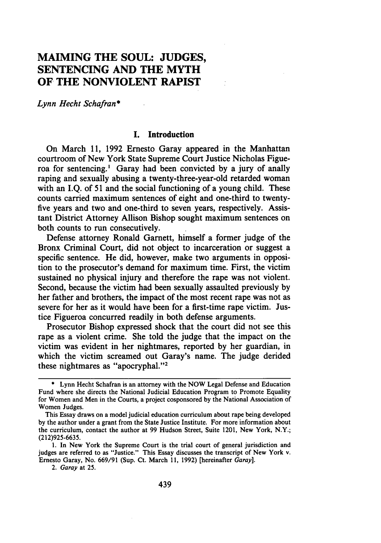### **MAIMING THE SOUL: JUDGES, SENTENCING AND THE MYTH OF THE NONVIOLENT RAPIST**

*Lynn Hecht Schafran\**

#### **I.** Introduction

On March **11, 1992** Ernesto Garay appeared in the Manhattan courtroom of New York State Supreme Court Justice Nicholas Figueroa for sentencing.' Garay had been convicted **by** a jury of anally raping and sexually abusing a twenty-three-year-old retarded woman with an **I.Q.** of 51 and the social functioning of a young child. These counts carried maximum sentences of eight and one-third to twentyfive years and two and one-third to seven years, respectively. Assistant District Attorney Allison Bishop sought maximum sentences on both counts to run consecutively.

Defense attorney Ronald Garnett, himself a former judge of the Bronx Criminal Court, did not object to incarceration or suggest a specific sentence. He did, however, make two arguments in opposition to the prosecutor's demand for maximum time. First, the victim sustained no physical injury and therefore the rape was not violent. Second, because the victim had been sexually assaulted previously **by** her father and brothers, the impact of the most recent rape was not as severe for her as it would have been for a first-time rape victim. Justice Figueroa concurred readily in both defense arguments.

Prosecutor Bishop expressed shock that the court did not see this rape as a violent crime. She told the judge that the impact on the victim was evident in her nightmares, reported **by** her guardian, in which the victim screamed out Garay's name. The judge derided these nightmares as "apocryphal."<sup>2</sup>

**<sup>\*</sup>** Lynn Hecht Schafran is an attorney with the NOW Legal Defense and Education Fund where she directs the National Judicial Education Program to Promote Equality for Women and Men in the Courts, a project cosponsored **by** the National Association of Women Judges.

This Essay draws on a model judicial education curriculum about rape being developed **by** the author under a grant from the State Justice Institute. For more information about the curriculum, contact the author at 99 Hudson Street, Suite 1201, New York, N.Y.; **(212)925-6635.**

**<sup>1.</sup>** In New York the Supreme Court is the trial court of general jurisdiction and judges are referred to as "Justice." This Essay discusses the transcript of New York v. Ernesto Garay, No. 669/91 (Sup. Ct. March **11, 1992)** [hereinafter Garay].

*<sup>2.</sup>* Garay at **25.**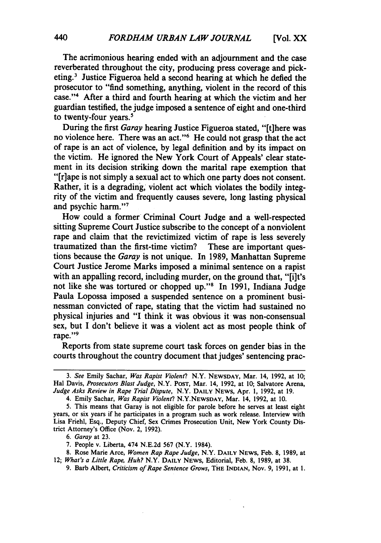The acrimonious hearing ended with an adjournment and the case reverberated throughout the city, producing press coverage and picketing.3 Justice Figueroa held a second hearing at which he defied the prosecutor to "find something, anything, violent in the record of this case."4 After a third and fourth hearing at which the victim and her guardian testified, the judge imposed a sentence of eight and one-third to twenty-four years.<sup>5</sup>

During the first *Garay* hearing Justice Figueroa stated, "[t]here was no violence here. There was an act."6 He could not grasp that the act of rape is an act of violence, **by** legal definition and **by** its impact on the victim. He ignored the New York Court of Appeals' clear statement in its decision striking down the marital rape exemption that "I rlape is not simply a sexual act to which one party does not consent. Rather, it is a degrading, violent act which violates the bodily integrity of the victim and frequently causes severe, long lasting physical and psychic harm. '

How could a former Criminal Court Judge and a well-respected sitting Supreme Court Justice subscribe to the concept of a nonviolent rape and claim that the revictimized victim of rape is less severely traumatized than the first-time victim? These are important questions because the *Garay* is not unique. In 1989, Manhattan Supreme Court Justice Jerome Marks imposed a minimal sentence on a rapist with an appalling record, including murder, on the ground that, "[i]t's not like she was tortured or chopped up."8 In 1991, Indiana Judge Paula Lopossa imposed a suspended sentence on a prominent businessman convicted of rape, stating that the victim had sustained no physical injuries and "I think it was obvious it was non-consensual sex, but I don't believe it was a violent act as most people think of rape."<sup>9</sup>

Reports from state supreme court task forces on gender bias in the courts throughout the country document that judges' sentencing prac-

*6. Garay* at **23.**

*<sup>3.</sup> See* Emily Sachar, *Was Rapist Violent?* N.Y. NEWSDAY, Mar. 14, 1992, at 10; Hal Davis, *Prosecutors Blast Judge,* N.Y. POST, Mar. 14, 1992, at 10; Salvatore Arena, *Judge Asks Review in Rape Trial Dispute,* N.Y. **DAILY** NEWS, Apr. 1, 1992, at 19.

<sup>4.</sup> Emily Sachar, *Was Rapist Violent?* N.Y.NEWSDAY, Mar. 14, 1992, at 10.

<sup>5.</sup> This means that Garay is not eligible for parole before he serves at least eight years, or six years if he participates in a program such as work release. Interview with Lisa Friehl, Esq., Deputy Chief, Sex Crimes Prosecution Unit, New York County District Attorney's Office (Nov. 2, 1992).

<sup>7.</sup> People v. Liberta, 474 N.E.2d 567 (N.Y. 1984).

<sup>8.</sup> Rose Marie Arce, *Women Rap Rape Judge,* N.Y. **DAILY** NEWS, Feb. 8, 1989, at 12; *What's a Little Rape, Huh?* N.Y. **DAILY** NEWS, Editorial, Feb. 8, 1989, at 38.

<sup>9.</sup> Barb Albert, *Criticism of Rape Sentence Grows, THE* INDIAN, Nov. 9, 1991, at 1.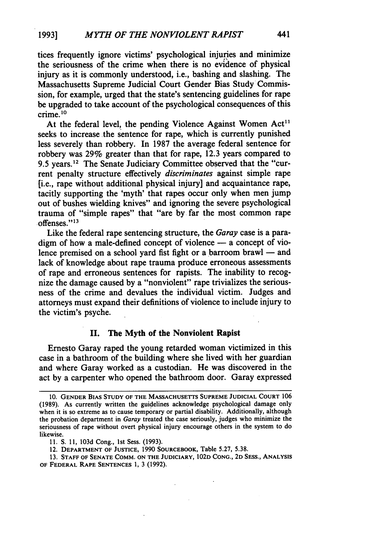tices frequently ignore victims' psychological injuries and minimize the seriousness of the crime when there is no evidence of physical injury as it is commonly understood, i.e., bashing and slashing. The Massachusetts Supreme Judicial Court Gender Bias Study Commission, for example, urged that the state's sentencing guidelines for rape be upgraded to take account of the psychological consequences of this crime. **1 0**

At the federal level, the pending Violence Against Women  $Act<sup>11</sup>$ seeks to increase the sentence for rape, which is currently punished less severely than robbery. In 1987 the average federal sentence for robbery was **29%** greater than that for rape, 12.3 years compared to 9.5 years.<sup>12</sup> The Senate Judiciary Committee observed that the "current penalty structure effectively *discriminates* against simple rape [i.e., rape without additional physical injury] and acquaintance rape, tacitly supporting the 'myth' that rapes occur only when men jump out of bushes wielding knives" and ignoring the severe psychological trauma of "simple rapes" that "are by far the most common rape offenses." 13

Like the federal rape sentencing structure, the *Garay* case is a paradigm of how a male-defined concept of violence  $-$  a concept of violence premised on a school yard fist fight or a barroom brawl **-** and lack of knowledge about rape trauma produce erroneous assessments of rape and erroneous sentences for rapists. The inability to recognize the damage caused **by** a "nonviolent" rape trivializes the seriousness of the crime and devalues the individual victim. Judges and attorneys must expand their definitions of violence to include injury to the victim's psyche.

#### **II. The Myth of the Nonviolent Rapist**

Ernesto Garay raped the young retarded woman victimized in this case in a bathroom of the building where she lived with her guardian and where Garay worked as a custodian. He was discovered in the act **by** a carpenter who opened the bathroom door. Garay expressed

**<sup>10.</sup> GENDER BIAS STUDY OF THE MASSACHUSETTS SUPREME JUDICIAL COURT 106 (1989). As currently written** the guidelines acknowledge psychological damage only when it is so extreme as to cause temporary or partial disability. Additionally, although the probation department in Garay treated the case seriously, judges who minimize the seriousness of rape without overt physical injury encourage others in the system to do likewise.

**<sup>11.</sup> S. 11, 103d** Cong., **1st** Sess. **(1993).**

<sup>12.</sup> **DEPARTMENT OF JUSTICE,** 1990 **SOURCEBOOK,** Table **5.27, 5.38.**

**<sup>13.</sup> STAFF OF SENATE COMM. ON THE JUDICIARY, 102D CONG., 2D SESS., ANALYSIS OF FEDERAL RAPE SENTENCES 1,** 3 **(1992).**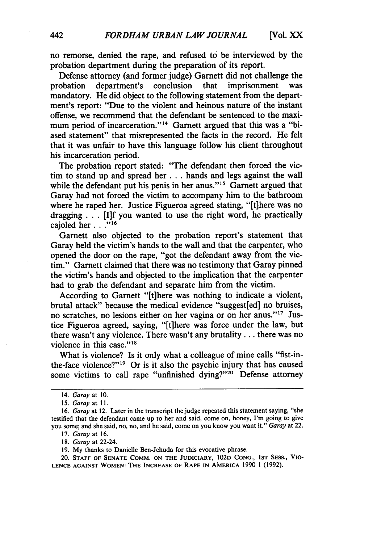no remorse, denied the rape, and refused to be interviewed **by** the probation department during the preparation of its report.

Defense attorney (and former judge) Garnett did not challenge the probation department's conclusion that imprisonment mandatory. He did object to the following statement from the department's report: "Due to the violent and heinous nature of the instant offense, we recommend that the defendant be sentenced to the maximum period of incarceration."<sup>14</sup> Garnett argued that this was a "biased statement" that misrepresented the facts in the record. He felt that it was unfair to have this language follow his client throughout his incarceration period.

The probation report stated: "The defendant then forced the victim to stand up and spread her **...** hands and legs against the wall while the defendant put his penis in her anus."<sup>15</sup> Garnett argued that Garay had not forced the victim to accompany him to the bathroom where he raped her. Justice Figueroa agreed stating, "[t]here was no dragging  $\ldots$ . [I]f you wanted to use the right word, he practically cajoled her . **.."16**

Garnett also objected to the probation report's statement that Garay held the victim's hands to the wall and that the carpenter, who opened the door on the rape, "got the defendant away from the victim." Garnett claimed that there was no testimony that Garay pinned the victim's hands and objected to the implication that the carpenter had to grab the defendant and separate him from the victim.

According to Garnett "[t]here was nothing to indicate a violent, brutal attack" because the medical evidence "suggest[ed] no bruises, no scratches, no lesions either on her vagina or on her anus."17 Justice Figueroa agreed, saying, "[t]here was force under the law, but there wasn't any violence. There wasn't any brutality... there was no violence in this case." $18$ 

What is violence? Is it only what a colleague of mine calls "fist-inthe-face violence?"<sup>19</sup> Or is it also the psychic injury that has caused some victims to call rape "unfinished dying?"<sup>20</sup> Defense attorney

<sup>14.</sup> Garay at 10.

<sup>15.</sup> Garay at 11.

*<sup>16.</sup>* Garay at 12. Later in the transcript the judge repeated this statement saying, "she testified that the defendant came up to her and said, come on, honey, I'm going to give you some; and she said, no, no, and he said, come on you know you want it." Garay at 22.

<sup>17.</sup> Garay at 16.

<sup>18.</sup> Garay at 22-24.

<sup>19.</sup> My thanks to Danielle Ben-Jehuda for this evocative phrase.

<sup>20.</sup> **STAFF** OF **SENATE** COMM. **ON THE JUDICIARY,** 102D CONG., **1ST** SESS., VIO-LENCE AGAINST WOMEN: THE **INCREASE** OF RAPE IN AMERICA 1990 1 (1992).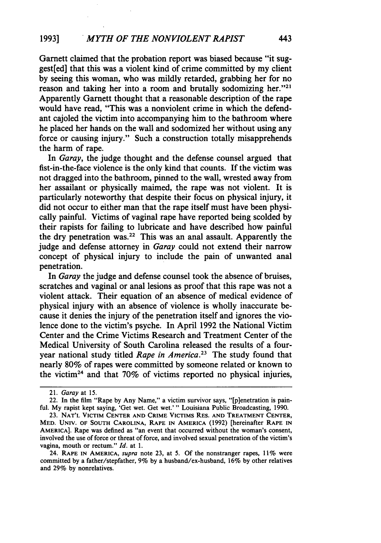Garnett claimed that the probation report was biased because "it suggest[ed] that this was a violent kind of crime committed **by** my client **by** seeing this woman, who was mildly retarded, grabbing her for no reason and taking her into a room and brutally sodomizing her." $21$ Apparently Garnett thought that a reasonable description of the rape would have read, "This was a nonviolent crime in which the defendant cajoled the victim into accompanying him to the bathroom where he placed her hands on the wall and sodomized her without using any force or causing injury." Such a construction totally misapprehends the harm of rape.

In *Garay,* the judge thought and the defense counsel argued that fist-in-the-face violence is the only kind that counts. **If** the victim was not dragged into the bathroom, pinned to the wall, wrested away from her assailant or physically maimed, the rape was not violent. It is particularly noteworthy that despite their focus on physical injury, it did not occur to either man that the rape itself must have been physically painful. Victims of vaginal rape have reported being scolded **by** their rapists for failing to lubricate and have described how painful the dry penetration was.22 This was an anal assault. Apparently the judge and defense attorney in *Garay* could not extend their narrow concept of physical injury to include the pain of unwanted anal penetration.

In *Garay* the judge and defense counsel took the absence of bruises, scratches and vaginal or anal lesions as proof that this rape was not a violent attack. Their equation of an absence of medical evidence of physical injury with an absence of violence is wholly inaccurate because it denies the injury of the penetration itself and ignores the violence done to the victim's psyche. In April **1992** the National Victim Center and the Crime Victims Research and Treatment Center of the Medical University of South Carolina released the results of a fouryear national study titled *Rape in America.23* The study found that nearly **80%** of rapes were committed **by** someone related or known to the victim24 and that **70%** of victims reported no physical injuries,

<sup>21.</sup> *Garay at* **15.**

<sup>22.</sup> In the film "Rape **by** Any Name," a victim survivor says, "[p]enetration is painful. **My** rapist kept saying, 'Get wet. Get wet.' " Louisiana Public Broadcasting, **1990.**

<sup>23.</sup> **NAT'L** VICTIM CENTER **AND** CRIME VICTIMS RES. **AND** TREATMENT **CENTER,** MED. UNIV. OF SOUTH CAROLINA, RAPE IN AMERICA (1992) [hereinafter RAPE IN AMERICA]. Rape was defined as "an event that occurred without the woman's consent, involved the use of force or threat of force, and involved sexual penetration of the victim's vagina, mouth or rectum." *Id.* at **1.**

<sup>24.</sup> **RAPE IN AMERICA,** *supra* note **23,** at **5. Of** the nonstranger rapes, **11%** were committed **by** a father/stepfather, **9% by** a husband/ex-husband, **16% by** other relatives and **29% by** nonrelatives.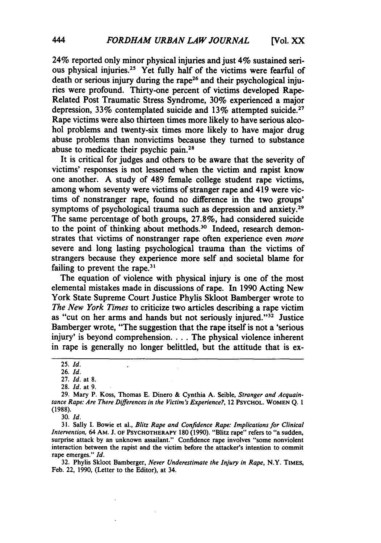24% reported only minor physical injuries and just 4% sustained serious physical injuries.25 Yet fully half of the victims were fearful of death or serious injury during the rape<sup>26</sup> and their psychological injuries were profound. Thirty-one percent of victims developed Rape-Related Post Traumatic Stress Syndrome, 30% experienced a major depression, 33% contemplated suicide and 13% attempted suicide.<sup>27</sup> Rape victims were also thirteen times more likely to have serious alcohol problems and twenty-six times more likely to have major drug abuse problems than nonvictims because they turned to substance abuse to medicate their psychic pain.28

It is critical for judges and others to be aware that the severity of victims' responses is not lessened when the victim and rapist know one another. A study of 489 female college student rape victims, among whom seventy were victims of stranger rape and 419 were victims of nonstranger rape, found no difference in the two groups' symptoms of psychological trauma such as depression and anxiety.<sup>29</sup> The same percentage of both groups, 27.8%, had considered suicide to the point of thinking about methods.<sup>30</sup> Indeed, research demonstrates that victims of nonstranger rape often experience even *more* severe and long lasting psychological trauma than the victims of strangers because they experience more self and societal blame for failing to prevent the rape. $31$ 

The equation of violence with physical injury is one of the most elemental mistakes made in discussions of rape. In 1990 Acting New York State Supreme Court Justice Phylis Skloot Bamberger wrote to *The New York Times* to criticize two articles describing a rape victim as "cut on her arms and hands but not seriously injured."<sup>32</sup> Justice Bamberger wrote, "The suggestion that the rape itself is not a 'serious injury' is beyond comprehension.... The physical violence inherent in rape is generally no longer belittled, but the attitude that is ex-

 $\ddot{\phantom{0}}$ 

30. *Id.*

**31.** Sally I. Bowie et al., Blitz *Rape and Confidence Rape: Implications for Clinical Intervention,* 64 AM. J. OF **PSYCHOTHERAPY** 180 (1990). "Blitz rape" refers to "a sudden, surprise attack by an unknown assailant." Confidence rape involves "some nonviolent interaction between the rapist and the victim before the attacker's intention to commit rape emerges." *Id.*

32. Phylis Skloot Bamberger, *Never Underestimate the Injury in Rape,* N.Y. **TIMES,** Feb. 22, 1990, (Letter to the Editor), at 34.

<sup>25.</sup> *Id.*

<sup>26.</sup> *Id.*

<sup>27.</sup> *Id.* at **8.**

**<sup>28.</sup>** *Id.* at 9.

**<sup>29.</sup>** Mary P. Koss, Thomas **E.** Dinero & Cynthia A. Seible, *Stranger and Acquaintance Rape: Are There Differences in the Victim's Experience?,* 12 **PSYCHOL. WOMEN Q. 1 (1988).**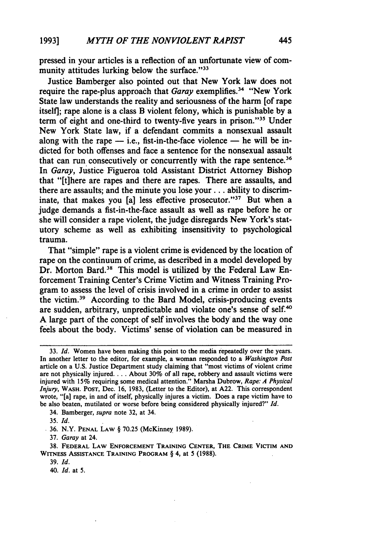pressed in your articles is a reflection of an unfortunate view of community attitudes lurking below the surface."<sup>33</sup>

Justice Bamberger also pointed out that New York law does not require the rape-plus approach that *Garay* exemplifies.<sup>34</sup> "New York State law understands the reality and seriousness of the harm [of rape itself]; rape alone is a class B violent felony, which is punishable **by** a term of eight and one-third to twenty-five years in prison."<sup>35</sup> Under New York State law, if a defendant commits a nonsexual assault along with the rape **-** i.e., fist-in-the-face violence **-** he will be indicted for both offenses and face a sentence for the nonsexual assault that can run consecutively or concurrently with the rape sentence.<sup>36</sup> In *Garay,* Justice Figueroa told Assistant District Attorney Bishop that "[tihere are rapes and there are rapes. There are assaults, and there are assaults; and the minute you lose **your..,** ability to discriminate, that makes you [a] less effective prosecutor."<sup>37</sup> But when a judge demands a fist-in-the-face assault as well as rape before he or she will consider a rape violent, the judge disregards New York's statutory scheme as well as exhibiting insensitivity to psychological trauma.

That "simple" rape is a violent crime is evidenced **by** the location of rape on the continuum of crime, as described in a model developed **by** Dr. Morton Bard.38 This model is utilized **by** the Federal Law Enforcement Training Center's Crime Victim and Witness Training Program to assess the level of crisis involved in a crime in order to assist the victim. 39 According to the Bard Model, crisis-producing events are sudden, arbitrary, unpredictable and violate one's sense of self.<sup>40</sup> **A** large part of the concept of self involves the body' and the way one feels about the body. Victims' sense of violation can be measured in

34. Bamberger, *supra* note **32,** at 34.

35. *Id.*

36. N.Y. **PENAL LAW** § 70.25 (McKinney **1989).**

**37.** *Garay* at 24.

**38. FEDERAL LAW ENFORCEMENT TRAINING CENTER, THE CRIME VICTIM AND WITNESS ASSISTANCE TRAINING PROGRAM** § 4, at 5 **(1988).**

**39.** *Id.*

40. *Id.* at **5.**

**<sup>33.</sup>** *Id.* Women have been making this point to the media repeatedly over the years. In another letter to the editor, for example, a woman responded to a *Washington Post* article on a **U.S.** Justice Department study claiming that "most victims of violent crime are not physically injured **....** About **30%** of all rape, robbery and assault victims were injured with **15%** requiring some medical attention." Marsha Dubrow, *Rape: A Physical Injury,* **WASH. POST,** Dec. **16, 1983,** (Letter to the Editor), at **A22.** This correspondent wrote, "[a] rape, in and of itself, physically injures a victim. Does a rape victim have to be also beaten, mutilated or worse before being considered physically injured?" *Id.*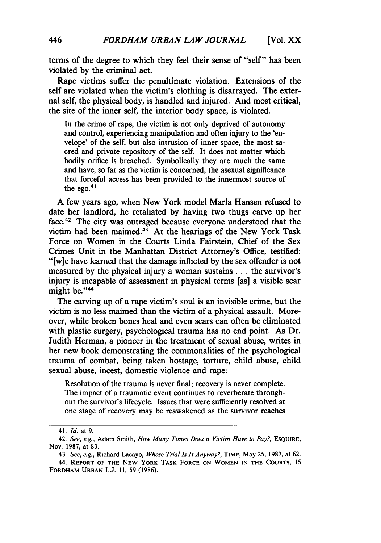terms of the degree to which they feel their sense of "self" has been violated by the criminal act.

Rape victims suffer the penultimate violation. Extensions of the self are violated when the victim's clothing is disarrayed. The external self, the physical body, is handled and injured. And most critical, the site of the inner self, the interior body space, is violated.

In the crime of rape, the victim is not only deprived of autonomy and control, experiencing manipulation and often injury to the 'envelope' of the self, but also intrusion of inner space, the most sacred and private repository of the self. It does not matter which bodily orifice is breached. Symbolically they are much the same and have, so far as the victim is concerned, the asexual significance that forceful access has been provided to the innermost source of the ego. $4$ 

A few years ago, when New York model Marla Hansen refused to date her landlord, he retaliated by having two thugs carve up her face.42 The city was outraged because everyone understood that the victim had been maimed. $43$  At the hearings of the New York Task Force on Women in the Courts Linda Fairstein, Chief of the Sex Crimes Unit in the Manhattan District Attorney's Office, testified: "[w]e have learned that the damage inflicted by the sex offender is not measured by the physical injury a woman sustains **...** the survivor's injury is incapable of assessment in physical terms [as] a visible scar might be."<sup>44</sup>

The carving up of a rape victim's soul is an invisible crime, but the victim is no less maimed than the victim of a physical assault. Moreover, while broken bones heal and even scars can often be eliminated with plastic surgery, psychological trauma has no end point. As Dr. Judith Herman, a pioneer in the treatment of sexual abuse, writes in her new book demonstrating the commonalities of the psychological trauma of combat, being taken hostage, torture, child abuse, child sexual abuse, incest, domestic violence and rape:

Resolution of the trauma is never final; recovery is never complete. The impact of a traumatic event continues to reverberate throughout the survivor's lifecycle. Issues that were sufficiently resolved at one stage of recovery may be reawakened as the survivor reaches

<sup>41.</sup> *Id.* at 9.

<sup>42.</sup> *See, e.g.,* Adam Smith, *How Many Times Does a Victim Have to Pay?,* **ESQUIRE,** Nov. **1987,** at **83.**

<sup>43.</sup> *See, e.g.,* Richard Lacayo, *Whose Trial Is It Anyway?,* **TIME,** May **25, 1987,** at **62.**

<sup>44.</sup> **REPORT OF THE NEW YORK TASK FORCE ON WOMEN IN THE COURTS, 15 FORDHAM URBAN L.J. 11, 59 (1986).**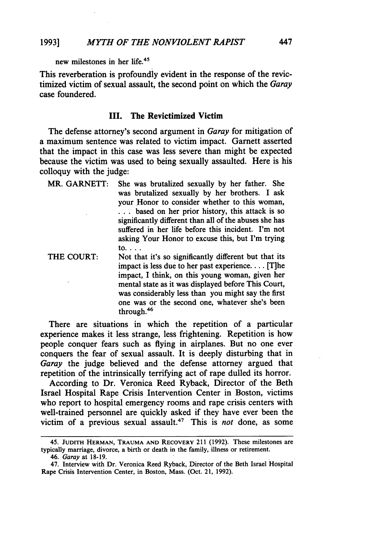new milestones in her life.<sup>45</sup>

This reverberation is profoundly evident in the response of the revictimized victim of sexual assault, the second point on which the *Garay* case foundered.

#### **III.** The Revictimized Victim

The defense attorney's second argument in *Garay* for mitigation of a maximum sentence was related to victim impact. Garnett asserted that the impact in this case was less severe than might be expected because the victim was used to being sexually assaulted. Here is his colloquy with the judge:

MR. **GARNETT:** She was brutalized sexually **by** her father. She was brutalized sexually **by** her brothers. I ask your Honor to consider whether to this woman, **...** based on her prior history, this attack is so significantly different than all of the abuses she has suffered in her life before this incident. I'm not asking Your Honor to excuse this, but I'm trying to....

THE COURT: Not that it's so significantly different but that its impact is less due to her past experience **....** [T]he impact, I think, on this young woman, given her mental state as it was displayed before This Court, was considerably less than you might say the first one was or the second one, whatever she's been through.<sup>46</sup>

There are situations in which the repetition of a particular experience makes it less strange, less frightening. Repetition is how people conquer fears such as flying in airplanes. But no one ever conquers the fear of sexual assault. It is deeply disturbing that in *Garay* the judge believed and the defense attorney argued that repetition of the intrinsically terrifying act of rape dulled its horror.

According to Dr. Veronica Reed Ryback, Director of the Beth Israel Hospital Rape Crisis Intervention Center in Boston, victims who report to hospital emergency rooms and rape crisis centers with well-trained personnel are quickly asked if they have ever been the victim of a previous sexual assault.<sup>47</sup> This is *not* done, as some

46. Garay at **18-19.**

<sup>45.</sup> **JUDITH HERMAN,** TRAUMA **AND RECOVERY** 211 **(1992).** These milestones are typically marriage, divorce, a birth or death in the family, illness or retirement.

<sup>47.</sup> Interview with Dr. Veronica Reed Ryback, Director of the Beth Israel Hospital Rape Crisis Intervention Center, in Boston, Mass. (Oct. 21, **1992).**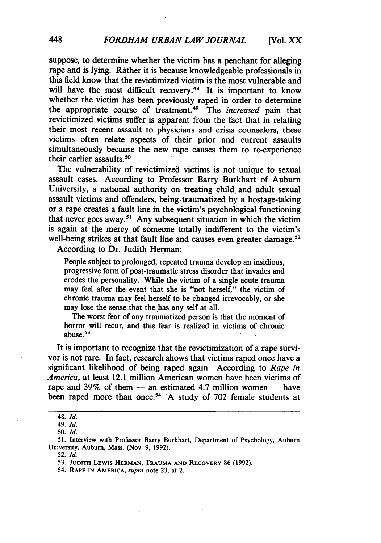suppose, to determine whether the victim has a penchant for alleging rape and is lying. Rather it is because knowledgeable professionals in this field know that the revictimized victim is the most vulnerable and will have the most difficult recovery.<sup>48</sup> It is important to know whether the victim has been previously raped in order to determine the appropriate course of treatment. 49 The *increased* pain that revictimized victims suffer is apparent from the fact that in relating their most recent assault to physicians and crisis counselors, these victims often relate aspects of their prior and current assaults simultaneously because the new rape causes them to re-experience their earlier assaults.<sup>50</sup>

The vulnerability of revictimized victims is not unique to sexual assault cases. According to Professor Barry Burkhart of Auburn University, a national authority on treating child and adult sexual assault victims and offenders, being traumatized **by** a hostage-taking or a rape creates a fault line in the victim's psychological functioning that never goes away.<sup>51</sup> Any subsequent situation in which the victim is again at the mercy of someone totally indifferent to the victim's well-being strikes at that fault line and causes even greater damage.<sup>52</sup>

According to Dr. Judith Herman:

People subject to prolonged, repeated trauma develop an insidious, progressive form of post-traumatic stress disorder that invades and erodes the personality. While the victim of a single acute trauma may feel after the event that she is "not herself," the victim of chronic trauma may feel herself to be changed irrevocably, or she may lose the sense that the has any self at all.

The worst fear of any traumatized person is that the moment of horror will recur, and this fear is realized in victims of chronic abuse. **53**

It is important to recognize that the revictimization of a rape survivor is not rare. In fact, research shows that victims raped once have a significant likelihood of being raped again. According to *Rape in America,* at least 12.1 million American women have been victims of rape and 39% of them - an estimated 4.7 million women - have been raped more than once.<sup>54</sup> A study of 702 female students at

**<sup>48.</sup>** *Id.*

<sup>49.</sup> *Id.*

**<sup>50.</sup>** *Id.*

**<sup>51.</sup>** Interview with Professor Barry Burkhart, Department of Psychology, Auburn University, Auburn, Mass. (Nov. **9, 1992).**

<sup>52.</sup> *Id.*

**<sup>53.</sup> JUDITH LEWIS HERMAN, TRAUMA AND RECOVERY** 86 **(1992).**

<sup>54.</sup> **RAPE IN AMERICA,** *supra* note **23,** at 2.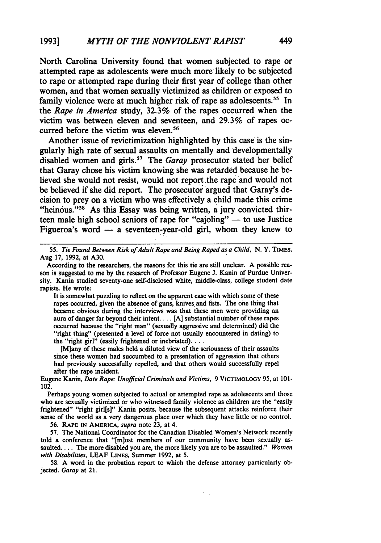North Carolina University found that women subjected to rape or attempted rape as adolescents were much more likely to be subjected to rape or attempted rape during their first year of college than other women, and that women sexually victimized as children or exposed to family violence were at much higher risk of rape as adolescents.<sup>55</sup> In the *Rape in America* study, **32.3%** of the rapes occurred when the victim was between eleven and seventeen, and **29.3%** of rapes occurred before the victim was eleven.<sup>56</sup>

Another issue of revictimization highlighted **by** this case is the singularly high rate of sexual assaults on mentally and developmentally disabled women and girls.<sup>57</sup> The *Garay* prosecutor stated her belief that Garay chose his victim knowing she was retarded because he believed she would not resist, would not report. the rape and would not be believed if she did report. The prosecutor argued that Garay's decision to prey on a victim who was effectively a child made this crime "heinous."<sup>58</sup> As this Essay was being written, a jury convicted thirteen male high school seniors of rape for "cajoling" **-** to use Justice Figueroa's word  $-$  a seventeen-year-old girl, whom they knew to

**55.** *Tie* Found *Between Risk ofAdult Rape and Being Raped as a Child,* **N.** Y. **TIMES,** Aug **17, 1992,** at **A30.**

It is somewhat puzzling to reflect on the apparent ease with which some of these rapes occurred, given the absence of guns, knives and fists. The one thing that became obvious during the interviews was that these men were providing an aura of danger far beyond their intent.... **[A]** substantial number of these rapes occurred because the "right man" (sexually aggressive and determined) did the "right thing" (presented a level of force not usually encountered in dating) to the "right girl" (easily frightened or inebriated)....

[M]any of these males held a diluted view of the seriousness of their assaults since these women had succumbed to a presentation of aggression that others had previously successfully repelled, and that others would successfully repel after the rape incident.

Eugene Kanin, *Date Rape: Unofficial Criminals and Victims,* **9 VICTIMOLOGY 95,** at **101-** 102.

Perhaps young women subjected to actual or attempted rape as adolescents and those who are sexually victimized or who witnessed family violence as children are the "easily frightened" "right girl[s]" Kanin posits, because the subsequent attacks reinforce their sense of the world as a very dangerous place over which they have little or no control.

**56. RAPE IN AMERICA,** *supra* note **23,** at 4.

**57.** The National Coordinator for the Canadian Disabled Women's Network recently told a conference that "[m]ost members of our community have been sexually assaulted.... The more disabled you are, the more likely you are to be assaulted." *Women with Disabilities,* **LEAF LINES,** Summer **1992,** at **5.**

**58. A** word in the probation report to which the defense attorney particularly objected. *Garay* at 21.

According to the researchers, the reasons for this tie are still unclear. **A** possible reason is suggested to me **by** the research of Professor Eugene **J.** Kanin of Purdue University. Kanin studied seventy-one self-disclosed white, middle-class, college student date rapists. He wrote: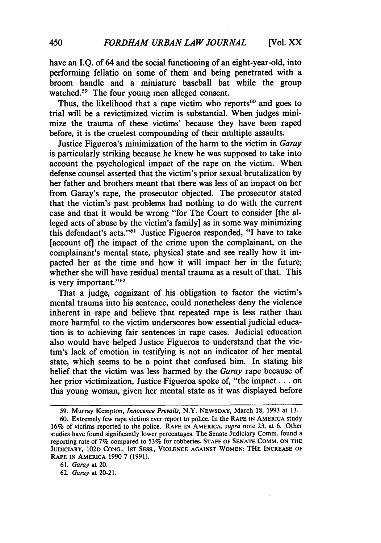have an I.Q. of 64 and the social functioning of an eight-year-old, into performing fellatio on some of them and being penetrated with a broom handle and a miniature baseball bat while the group watched.<sup>59</sup> The four young men alleged consent.

Thus, the likelihood that a rape victim who reports<sup>60</sup> and goes to trial will be a revictimized victim is substantial. When judges minimize the trauma of these victims' because they have been raped before, it is the cruelest compounding of their multiple assaults.

Justice Figueroa's minimization of the harm to the victim in *Garay* is particularly striking because he knew he was supposed to take into account the psychological impact of the rape on the victim. When defense counsel asserted that the victim's prior sexual brutalization **by** her father and brothers meant that there was less of an impact on her from Garay's rape, the prosecutor objected. The prosecutor stated that the victim's past problems had nothing to do with the current case and that it would be wrong "for The Court to consider [the alleged acts of abuse **by** the victim's family] as in some way minimizing this defendant's acts."<sup>61</sup> Justice Figueroa responded, "I have to take [account of] the impact of the crime upon the complainant, on the complainant's mental state, physical state and see really how it impacted her at the time and how it will impact her in the future; whether she will have residual mental trauma as a result of that. This is very important." $62$ 

That a judge, cognizant of his obligation to factor the victim's mental trauma into his sentence, could nonetheless deny the violence inherent in rape and believe that repeated rape is less rather than more harmful to the victim underscores how essential judicial education is to achieving fair sentences in rape cases. Judicial education also would have helped Justice Figueroa to understand that the victim's lack of emotion in testifying is not an indicator of her mental state, which seems to be a point that confused him. In stating his belief that the victim was less harmed **by** the *Garay* rape because of her prior victimization, Justice Figueroa spoke of, "the impact **...** on this young woman, given her mental state as it was displayed before

**<sup>59.</sup>** Murray Kempton, *Innocence Prevails,* N.Y. **NEWSDAY,** March **18, 1993** at **13.**

**<sup>60.</sup>** Extremely few rape victims ever report to police. In the **RAPE IN AMERICA study 16%** of victims reported to the police. **RAPE IN AMERICA,** *supra* note **23,** at **6.** Other studies have found significantly lower percentages. The Senate Judiciary Comm. found a reporting rate of 7% compared to **53%** for robberies. **STAFF** OF **SENATE COMM. ON THE JUDICIARY, 102D CONG., IST SESS., VIOLENCE AGAINST WOMEN:** THE **INCREASE OF RAPE IN AMERICA 1990** 7 **(1991).**

*<sup>61.</sup> Garay* at 20.

*<sup>62.</sup> Garay* **at** 20-21.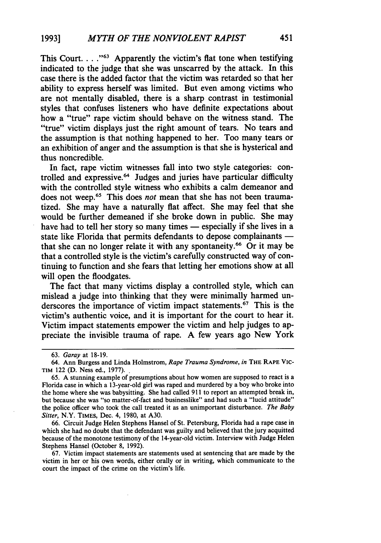This Court. . . . "<sup>63</sup> Apparently the victim's flat tone when testifying indicated to the judge that she was unscarred by the attack. In this case there is the added factor that the victim was retarded so that her ability to express herself was limited. But even among victims who are not mentally disabled, there is a sharp contrast in testimonial styles that confuses listeners who have definite expectations about how a "true" rape victim should behave on the witness stand. The "true" victim displays just the right amount of tears. No tears and the assumption is that nothing happened to her. Too many tears or an exhibition of anger and the assumption is that she is hysterical and thus noncredible.

In fact, rape victim witnesses fall into two style categories: controlled and expressive.<sup>64</sup> Judges and juries have particular difficulty with the controlled style witness who exhibits a calm demeanor and does not weep.65 This does *not* mean that she has not been traumatized. She may have a naturally flat affect. She may feel that she would be further demeaned if she broke down in public. She may have had to tell her story so many times — especially if she lives in a state like Florida that permits defendants to depose complainants  $$ that she can no longer relate it with any spontaneity.<sup>66</sup> Or it may be that a controlled style is the victim's carefully constructed way of continuing to function and she fears that letting her emotions show at all will open the floodgates.

The fact that many victims display a controlled style, which can mislead a judge into thinking that they were minimally harmed underscores the importance of victim impact statements.<sup>67</sup> This is the victim's authentic voice, and it is important for the court to hear it. Victim impact statements empower the victim and help judges to appreciate the invisible trauma of rape. A few years ago New York

66. Circuit Judge Helen Stephens Hansel of St. Petersburg, Florida had a rape case in which she had no doubt that the defendant was guilty and believed that the jury acquitted because of the monotone testimony of the 14-year-old victim. Interview with Judge Helen Stephens Hansel (October 8, 1992).

67. Victim impact statements are statements used at sentencing that are made by the victim in her or his own words, either orally or in writing, which communicate to the court the impact of the crime on the victim's life.

<sup>63.</sup> *Garay* at 18-19.

<sup>64.</sup> Ann Burgess and Linda Holmstrom, *Rape Trauma Syndrome, in* **THE** RAPE **VIC-TIM** 122 (D. Ness ed., 1977)..

<sup>65.</sup> A stunning example of presumptions about how women are supposed to react is a Florida case in which a 13-year-old girl was raped and murdered by a boy who broke into the home where she was babysitting. She had called 911 to report an attempted break in, but because she was "so matter-of-fact and businesslike" and had such a "lucid attitude" the police officer who took the call treated it as an unimportant disturbance. *The Baby Sitter,* N.Y. TIMES, Dec. 4, 1980, at A30.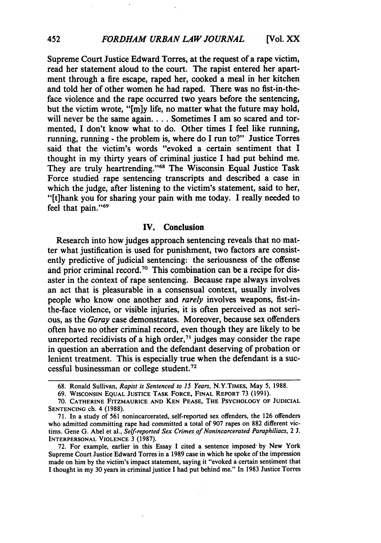Supreme Court Justice Edward Torres, at the request of a rape victim, read her statement aloud to the court. The rapist entered her apartment through a fire escape, raped her, cooked a meal in her kitchen and told her of other women he had raped. There was no fist-in-theface violence and the rape occurred two years before the sentencing, but the victim wrote, "[m]y life, no matter what the future may hold, will never be the same again. . . . Sometimes I am so scared and tormented, I don't know what to do. Other times I feel like running, running, running **-** the problem is, where do I run to?" Justice Torres said that the victim's words "evoked a certain sentiment that I thought in my thirty years of criminal justice I had put behind me. They are truly heartrending."<sup>68</sup> The Wisconsin Equal Justice Task Force studied rape sentencing transcripts and described a case in which the judge, after listening to the victim's statement, said to her, "[t]hank you for sharing your pain with me today. I really needed to feel that pain."<sup>69</sup>

#### **IV.** Conclusion

Research into how judges approach sentencing reveals that no matter what justification is used for punishment, two factors are consistently predictive of judicial sentencing: the seriousness of the offense and prior criminal record.70 This combination can be a recipe for disaster in the context of rape sentencing. Because rape always involves an act that is pleasurable in a consensual context, usually involves people who know one another and *rarely* involves weapons, fist-inthe-face violence, or visible injuries, it is often perceived as not serious, as the *Garay* case demonstrates. Moreover, because sex offenders often have no other criminal record, even though they are likely to be unreported recidivists of a high order,<sup> $71$ </sup> judges may consider the rape in question an aberration and the defendant deserving of probation or lenient treatment. This is especially true when the defendant is a successful businessman or college student."2

**<sup>68.</sup>** Ronald Sullivan, *Rapist is Sentenced to 15 Years,* N.Y.TIMES, May **5, 1988.**

**<sup>69.</sup> WISCONSIN EQUAL JUSTICE** TASK FORCE, **FINAL** REPORT **73 (1991).**

**<sup>70.</sup>** CATHERINE FITZMAURICE **AND KEN PEASE,** THE PSYCHOLOGY OF **JUDICIAL SENTENCING** ch. 4 **(1988).**

**<sup>71.</sup>** In a study of **561** nonincarcerated, self-reported sex offenders, the **126** offenders who admitted committing rape had committed a total of **907** rapes on **882** different victims. Gene **G.** Abel et al., *Self-reported Sex Crimes of Nonincarcerated Paraphiliacs,* 2 **J.** INTERPERSONAL VIOLENCE 3 **(1987).**

**<sup>72.</sup>** For example, earlier in this Essay **I** cited a sentence imposed- **by** New York Supreme Court Justice Edward Torres in a **1989** case in which he spoke of the impression made on him **by** the victim's impact statement, saying it "evoked a certain sentiment that **I** thought in my **30** years in criminal justice I had put behind me." In **1983** Justice Torres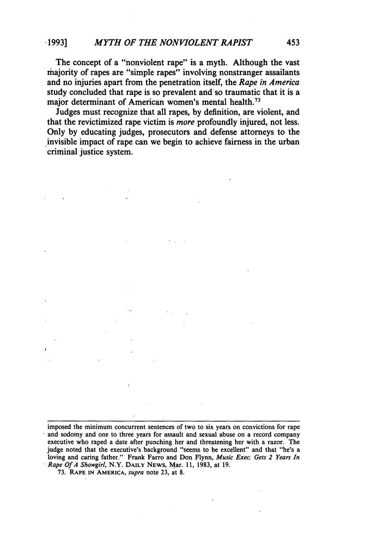The concept of a "nonviolent rape" is a myth. Although the vast majority of rapes are "simple rapes" involving nonstranger assailants and no injuries apart from the penetration itself, the *Rape in America* study concluded that rape is so prevalent and'so traumatic that it is a major determinant of American women's mental health.<sup>73</sup>

Judges must recognize that all rapes, by definition, are violent, and that the revictimized rape victim is *more* profoundly injured, not less. Only by educating judges, prosecutors and defense attorneys to the invisible impact of rape can we begin to achieve fairness in the urban criminal justice system.

imposed the minimum concurrent sentences of two to six years on convictions for rape and sodomy and one to three years for assault and sexual abuse on a record company executive who raped a date after punching her and threatening her with a razor. The judge noted that the executive's background "seems to be excellent" and that "he's a loving and caring father." Frank Farro and Don Flynn, *Music Exec. Gets 2 Years In Rape Of A Showgirl,* N.Y. DAILY **NEWS,** Mar. 11, 1983, at 19.

73. RAPE IN AMERICA, *supra* note 23, at 8.